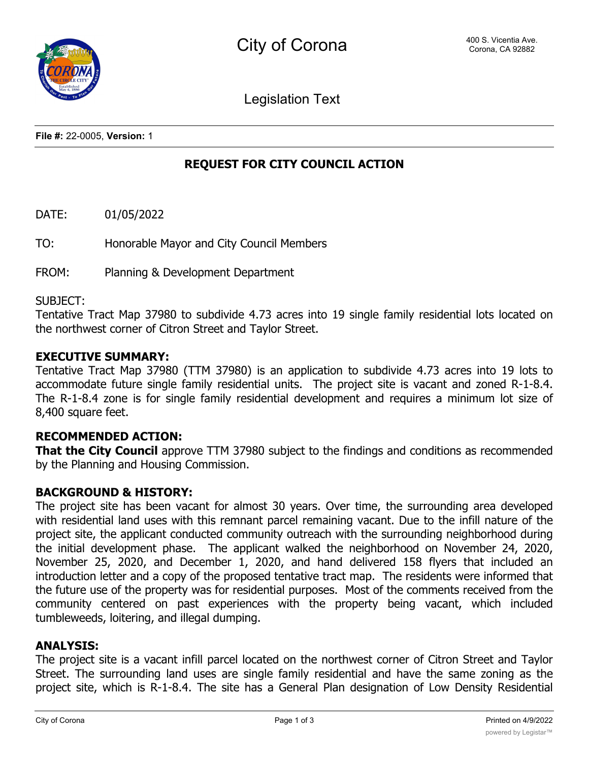Legislation Text

**File #:** 22-0005, **Version:** 1

# **REQUEST FOR CITY COUNCIL ACTION**

DATE: 01/05/2022

TO: Honorable Mayor and City Council Members

FROM: Planning & Development Department

#### SUBJECT:

Tentative Tract Map 37980 to subdivide 4.73 acres into 19 single family residential lots located on the northwest corner of Citron Street and Taylor Street.

#### **EXECUTIVE SUMMARY:**

Tentative Tract Map 37980 (TTM 37980) is an application to subdivide 4.73 acres into 19 lots to accommodate future single family residential units. The project site is vacant and zoned R-1-8.4. The R-1-8.4 zone is for single family residential development and requires a minimum lot size of 8,400 square feet.

# **RECOMMENDED ACTION:**

**That the City Council** approve TTM 37980 subject to the findings and conditions as recommended by the Planning and Housing Commission.

## **BACKGROUND & HISTORY:**

The project site has been vacant for almost 30 years. Over time, the surrounding area developed with residential land uses with this remnant parcel remaining vacant. Due to the infill nature of the project site, the applicant conducted community outreach with the surrounding neighborhood during the initial development phase. The applicant walked the neighborhood on November 24, 2020, November 25, 2020, and December 1, 2020, and hand delivered 158 flyers that included an introduction letter and a copy of the proposed tentative tract map. The residents were informed that the future use of the property was for residential purposes. Most of the comments received from the community centered on past experiences with the property being vacant, which included tumbleweeds, loitering, and illegal dumping.

#### **ANALYSIS:**

The project site is a vacant infill parcel located on the northwest corner of Citron Street and Taylor Street. The surrounding land uses are single family residential and have the same zoning as the project site, which is R-1-8.4. The site has a General Plan designation of Low Density Residential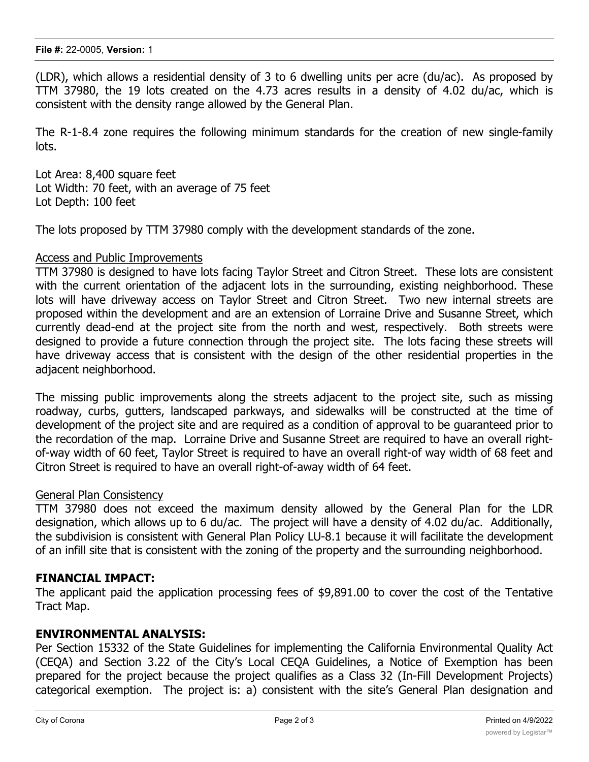(LDR), which allows a residential density of 3 to 6 dwelling units per acre (du/ac). As proposed by TTM 37980, the 19 lots created on the 4.73 acres results in a density of 4.02 du/ac, which is consistent with the density range allowed by the General Plan.

The R-1-8.4 zone requires the following minimum standards for the creation of new single-family lots.

Lot Area: 8,400 square feet Lot Width: 70 feet, with an average of 75 feet Lot Depth: 100 feet

The lots proposed by TTM 37980 comply with the development standards of the zone.

#### Access and Public Improvements

TTM 37980 is designed to have lots facing Taylor Street and Citron Street. These lots are consistent with the current orientation of the adjacent lots in the surrounding, existing neighborhood. These lots will have driveway access on Taylor Street and Citron Street. Two new internal streets are proposed within the development and are an extension of Lorraine Drive and Susanne Street, which currently dead-end at the project site from the north and west, respectively. Both streets were designed to provide a future connection through the project site. The lots facing these streets will have driveway access that is consistent with the design of the other residential properties in the adjacent neighborhood.

The missing public improvements along the streets adjacent to the project site, such as missing roadway, curbs, gutters, landscaped parkways, and sidewalks will be constructed at the time of development of the project site and are required as a condition of approval to be guaranteed prior to the recordation of the map. Lorraine Drive and Susanne Street are required to have an overall rightof-way width of 60 feet, Taylor Street is required to have an overall right-of way width of 68 feet and Citron Street is required to have an overall right-of-away width of 64 feet.

#### General Plan Consistency

TTM 37980 does not exceed the maximum density allowed by the General Plan for the LDR designation, which allows up to 6 du/ac. The project will have a density of 4.02 du/ac. Additionally, the subdivision is consistent with General Plan Policy LU-8.1 because it will facilitate the development of an infill site that is consistent with the zoning of the property and the surrounding neighborhood.

## **FINANCIAL IMPACT:**

The applicant paid the application processing fees of \$9,891.00 to cover the cost of the Tentative Tract Map.

#### **ENVIRONMENTAL ANALYSIS:**

Per Section 15332 of the State Guidelines for implementing the California Environmental Quality Act (CEQA) and Section 3.22 of the City's Local CEQA Guidelines, a Notice of Exemption has been prepared for the project because the project qualifies as a Class 32 (In-Fill Development Projects) categorical exemption. The project is: a) consistent with the site's General Plan designation and